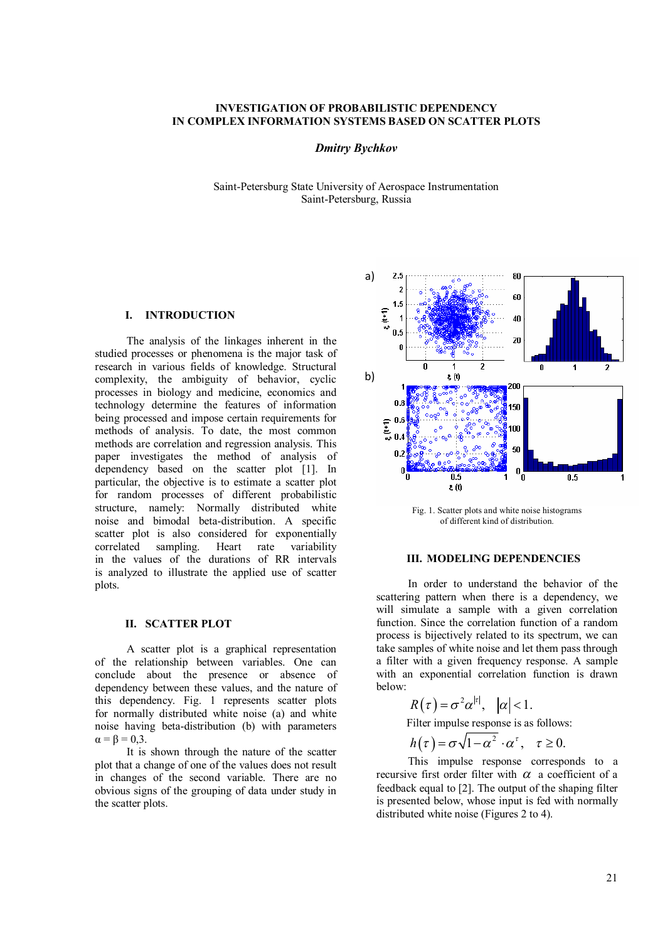# **INVESTIGATION OF PROBABILISTIC DEPENDENCY IN COMPLEX INFORMATION SYSTEMS BASED ON SCATTER PLOTS**

## *Dmitry Bychkov*

Saint-Petersburg State University of Aerospace Instrumentation Saint-Petersburg, Russia

# **I. INTRODUCTION**

The analysis of the linkages inherent in the studied processes or phenomena is the major task of research in various fields of knowledge. Structural complexity, the ambiguity of behavior, cyclic processes in biology and medicine, economics and technology determine the features of information being processed and impose certain requirements for methods of analysis. To date, the most common methods are correlation and regression analysis. This paper investigates the method of analysis of dependency based on the scatter plot [1]. In particular, the objective is to estimate a scatter plot for random processes of different probabilistic structure, namely: Normally distributed white noise and bimodal beta-distribution. A specific scatter plot is also considered for exponentially correlated sampling. Heart rate variability in the values of the durations of RR intervals is analyzed to illustrate the applied use of scatter plots.

#### **II. SCATTER PLOT**

A scatter plot is a graphical representation of the relationship between variables. One can conclude about the presence or absence of dependency between these values, and the nature of this dependency. Fig. 1 represents scatter plots for normally distributed white noise (a) and white noise having beta-distribution (b) with parameters  $\alpha = \beta = 0.3$ .

It is shown through the nature of the scatter plot that a change of one of the values does not result in changes of the second variable. There are no obvious signs of the grouping of data under study in the scatter plots.



Fig. 1. Scatter plots and white noise histograms of different kind of distribution.

# **III. MODELING DEPENDENCIES**

In order to understand the behavior of the scattering pattern when there is a dependency, we will simulate a sample with a given correlation function. Since the correlation function of a random process is bijectively related to its spectrum, we can take samples of white noise and let them pass through a filter with a given frequency response. A sample with an exponential correlation function is drawn below:  $\mathbb{R}^2$ 

$$
R(\tau) = \sigma^2 \alpha^{|\tau|}, \quad |\alpha| < 1.
$$
  
Filter impulse response is as follows:  

$$
h(\tau) = \sigma \sqrt{1 - \alpha^2} \cdot \alpha^{\tau}, \quad \tau \ge 0.
$$

This impulse response corresponds to a recursive first order filter with  $\alpha$  a coefficient of a feedback equal to [2]. The output of the shaping filter is presented below, whose input is fed with normally distributed white noise (Figures 2 to 4).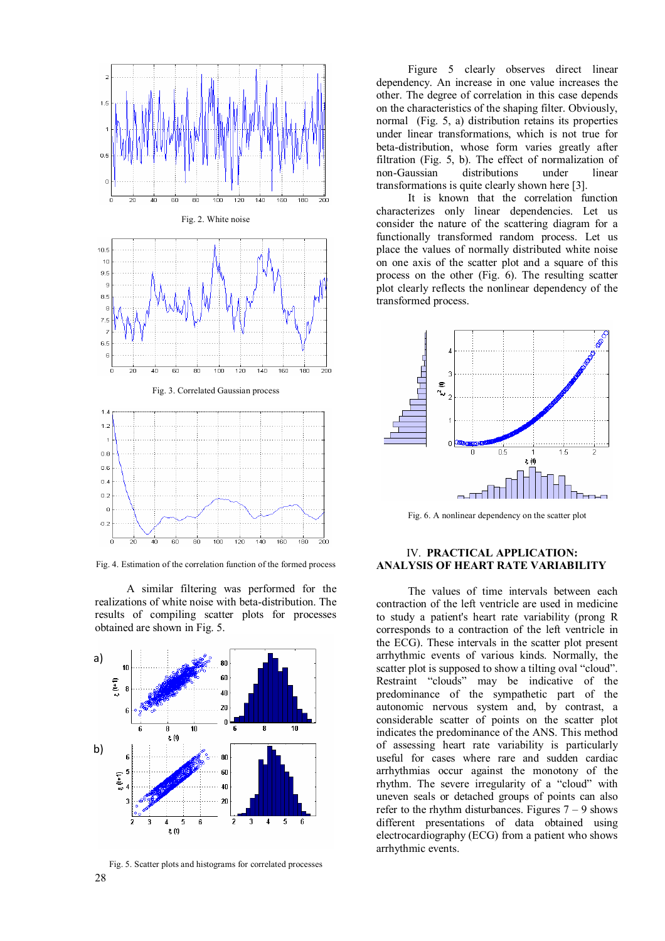

Fig. 4. Estimation of the correlation function of the formed process

A similar filtering was performed for the realizations of white noise with beta-distribution. The results of compiling scatter plots for processes obtained are shown in Fig. 5.



28 Fig. 5. Scatter plots and histograms for correlated processes

Figure 5 clearly observes direct linear dependency. An increase in one value increases the other. The degree of correlation in this case depends on the characteristics of the shaping filter. Obviously, normal (Fig. 5, a) distribution retains its properties under linear transformations, which is not true for beta-distribution, whose form varies greatly after filtration (Fig. 5, b). The effect of normalization of non-Gaussian distributions under linear transformations is quite clearly shown here [3].

It is known that the correlation function characterizes only linear dependencies. Let us consider the nature of the scattering diagram for a functionally transformed random process. Let us place the values of normally distributed white noise on one axis of the scatter plot and a square of this process on the other (Fig. 6). The resulting scatter plot clearly reflects the nonlinear dependency of the transformed process.



Fig. 6. A nonlinear dependency on the scatter plot

#### IV. **PRACTICAL APPLICATION: ANALYSIS OF HEART RATE VARIABILITY**

The values of time intervals between each contraction of the left ventricle are used in medicine to study a patient's heart rate variability (prong R corresponds to a contraction of the left ventricle in the ECG). These intervals in the scatter plot present arrhythmic events of various kinds. Normally, the scatter plot is supposed to show a tilting oval "cloud". Restraint "clouds" may be indicative of the predominance of the sympathetic part of the autonomic nervous system and, by contrast, a considerable scatter of points on the scatter plot indicates the predominance of the ANS. This method of assessing heart rate variability is particularly useful for cases where rare and sudden cardiac arrhythmias occur against the monotony of the rhythm. The severe irregularity of a "cloud" with uneven seals or detached groups of points can also refer to the rhythm disturbances. Figures  $7 - 9$  shows different presentations of data obtained using electrocardiography (ECG) from a patient who shows arrhythmic events.